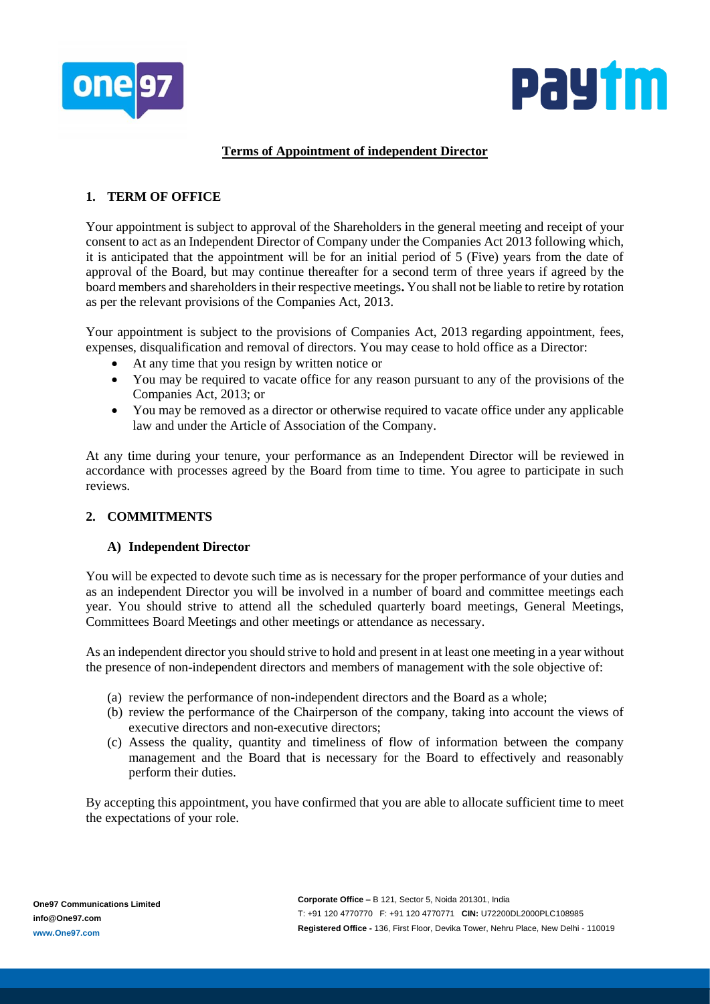



# **Terms of Appointment of independent Director**

# **1. TERM OF OFFICE**

Your appointment is subject to approval of the Shareholders in the general meeting and receipt of your consent to act as an Independent Director of Company under the Companies Act 2013 following which, it is anticipated that the appointment will be for an initial period of 5 (Five) years from the date of approval of the Board, but may continue thereafter for a second term of three years if agreed by the board members and shareholders in their respective meetings**.** You shall not be liable to retire by rotation as per the relevant provisions of the Companies Act, 2013.

Your appointment is subject to the provisions of Companies Act, 2013 regarding appointment, fees, expenses, disqualification and removal of directors. You may cease to hold office as a Director:

- At any time that you resign by written notice or
- You may be required to vacate office for any reason pursuant to any of the provisions of the Companies Act, 2013; or
- You may be removed as a director or otherwise required to vacate office under any applicable law and under the Article of Association of the Company.

At any time during your tenure, your performance as an Independent Director will be reviewed in accordance with processes agreed by the Board from time to time. You agree to participate in such reviews.

### **2. COMMITMENTS**

### **A) Independent Director**

You will be expected to devote such time as is necessary for the proper performance of your duties and as an independent Director you will be involved in a number of board and committee meetings each year. You should strive to attend all the scheduled quarterly board meetings, General Meetings, Committees Board Meetings and other meetings or attendance as necessary.

As an independent director you should strive to hold and present in at least one meeting in a year without the presence of non-independent directors and members of management with the sole objective of:

- (a) review the performance of non-independent directors and the Board as a whole;
- (b) review the performance of the Chairperson of the company, taking into account the views of executive directors and non-executive directors;
- (c) Assess the quality, quantity and timeliness of flow of information between the company management and the Board that is necessary for the Board to effectively and reasonably perform their duties.

By accepting this appointment, you have confirmed that you are able to allocate sufficient time to meet the expectations of your role.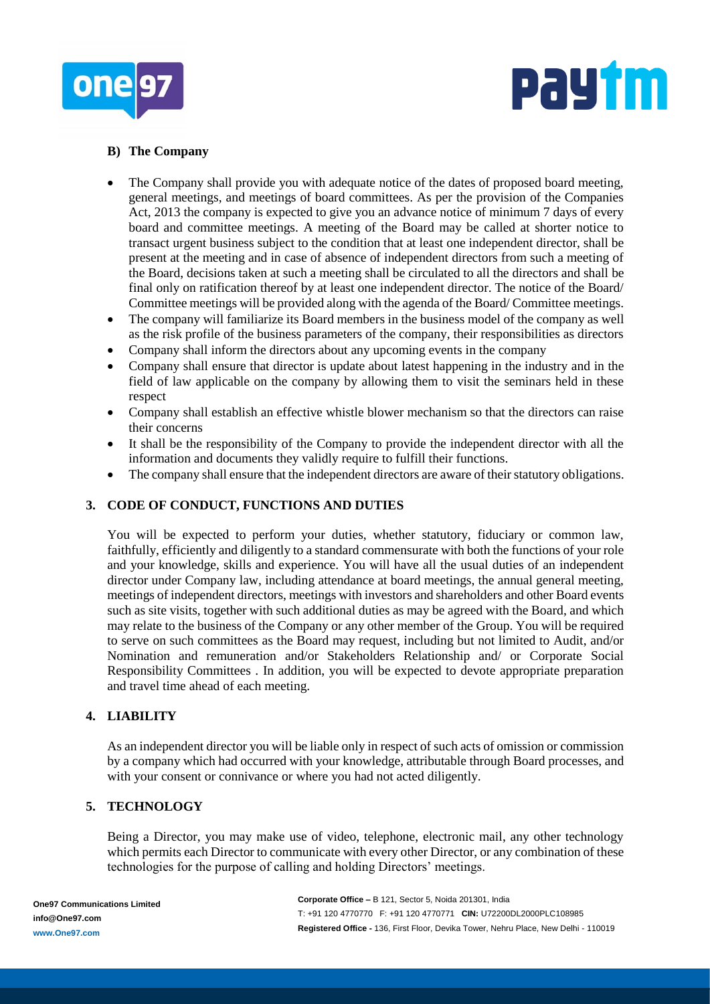



### **B) The Company**

- The Company shall provide you with adequate notice of the dates of proposed board meeting, general meetings, and meetings of board committees. As per the provision of the Companies Act, 2013 the company is expected to give you an advance notice of minimum 7 days of every board and committee meetings. A meeting of the Board may be called at shorter notice to transact urgent business subject to the condition that at least one independent director, shall be present at the meeting and in case of absence of independent directors from such a meeting of the Board, decisions taken at such a meeting shall be circulated to all the directors and shall be final only on ratification thereof by at least one independent director. The notice of the Board/ Committee meetings will be provided along with the agenda of the Board/ Committee meetings.
- The company will familiarize its Board members in the business model of the company as well as the risk profile of the business parameters of the company, their responsibilities as directors
- Company shall inform the directors about any upcoming events in the company
- Company shall ensure that director is update about latest happening in the industry and in the field of law applicable on the company by allowing them to visit the seminars held in these respect
- Company shall establish an effective whistle blower mechanism so that the directors can raise their concerns
- It shall be the responsibility of the Company to provide the independent director with all the information and documents they validly require to fulfill their functions.
- The company shall ensure that the independent directors are aware of their statutory obligations.

## **3. CODE OF CONDUCT, FUNCTIONS AND DUTIES**

You will be expected to perform your duties, whether statutory, fiduciary or common law, faithfully, efficiently and diligently to a standard commensurate with both the functions of your role and your knowledge, skills and experience. You will have all the usual duties of an independent director under Company law, including attendance at board meetings, the annual general meeting, meetings of independent directors, meetings with investors and shareholders and other Board events such as site visits, together with such additional duties as may be agreed with the Board, and which may relate to the business of the Company or any other member of the Group. You will be required to serve on such committees as the Board may request, including but not limited to Audit, and/or Nomination and remuneration and/or Stakeholders Relationship and/ or Corporate Social Responsibility Committees . In addition, you will be expected to devote appropriate preparation and travel time ahead of each meeting.

### **4. LIABILITY**

As an independent director you will be liable only in respect of such acts of omission or commission by a company which had occurred with your knowledge, attributable through Board processes, and with your consent or connivance or where you had not acted diligently.

### **5. TECHNOLOGY**

Being a Director, you may make use of video, telephone, electronic mail, any other technology which permits each Director to communicate with every other Director, or any combination of these technologies for the purpose of calling and holding Directors' meetings.

**Corporate Office –** B 121, Sector 5, Noida 201301, India T: +91 120 4770770 F: +91 120 4770771 **CIN:** U72200DL2000PLC108985 **Registered Office -** 136, First Floor, Devika Tower, Nehru Place, New Delhi - 110019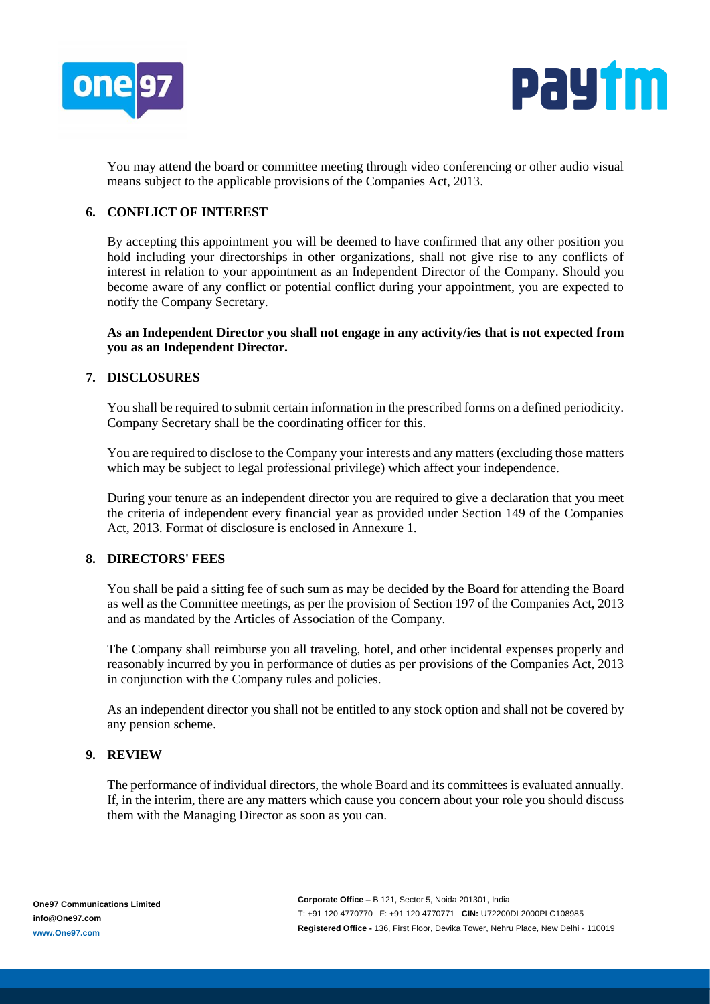



You may attend the board or committee meeting through video conferencing or other audio visual means subject to the applicable provisions of the Companies Act, 2013.

### **6. CONFLICT OF INTEREST**

By accepting this appointment you will be deemed to have confirmed that any other position you hold including your directorships in other organizations, shall not give rise to any conflicts of interest in relation to your appointment as an Independent Director of the Company. Should you become aware of any conflict or potential conflict during your appointment, you are expected to notify the Company Secretary.

### **As an Independent Director you shall not engage in any activity/ies that is not expected from you as an Independent Director.**

### **7. DISCLOSURES**

You shall be required to submit certain information in the prescribed forms on a defined periodicity. Company Secretary shall be the coordinating officer for this.

You are required to disclose to the Company your interests and any matters (excluding those matters which may be subject to legal professional privilege) which affect your independence.

During your tenure as an independent director you are required to give a declaration that you meet the criteria of independent every financial year as provided under Section 149 of the Companies Act, 2013. Format of disclosure is enclosed in Annexure 1.

# **8. DIRECTORS' FEES**

You shall be paid a sitting fee of such sum as may be decided by the Board for attending the Board as well as the Committee meetings, as per the provision of Section 197 of the Companies Act, 2013 and as mandated by the Articles of Association of the Company.

The Company shall reimburse you all traveling, hotel, and other incidental expenses properly and reasonably incurred by you in performance of duties as per provisions of the Companies Act, 2013 in conjunction with the Company rules and policies.

As an independent director you shall not be entitled to any stock option and shall not be covered by any pension scheme.

# **9. REVIEW**

The performance of individual directors, the whole Board and its committees is evaluated annually. If, in the interim, there are any matters which cause you concern about your role you should discuss them with the Managing Director as soon as you can.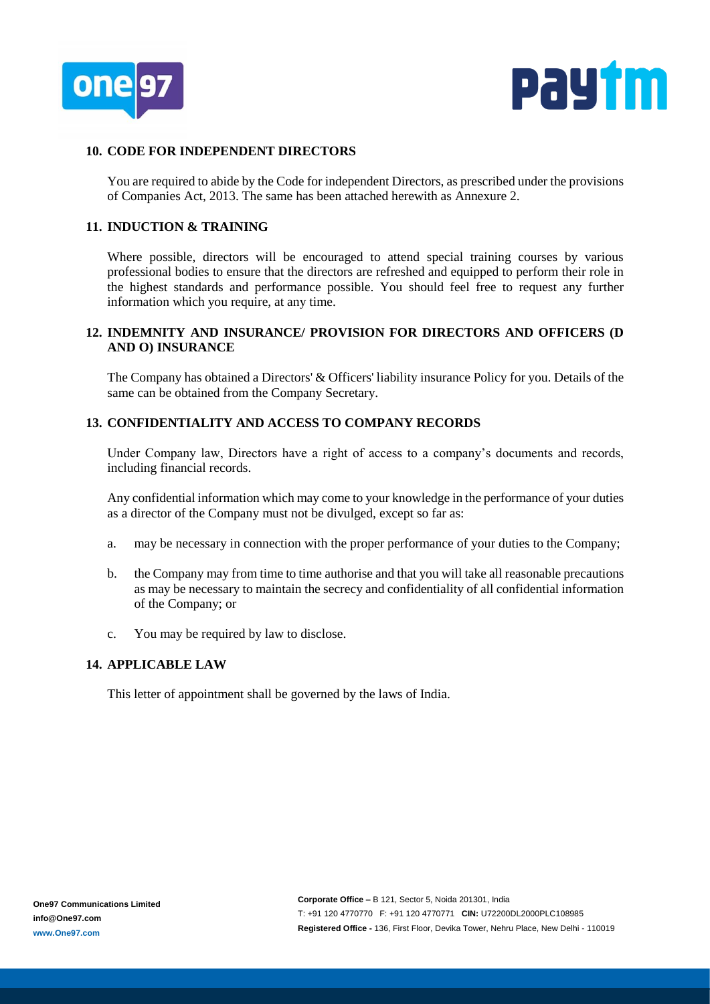



### **10. CODE FOR INDEPENDENT DIRECTORS**

You are required to abide by the Code for independent Directors, as prescribed under the provisions of Companies Act, 2013. The same has been attached herewith as Annexure 2.

#### **11. INDUCTION & TRAINING**

Where possible, directors will be encouraged to attend special training courses by various professional bodies to ensure that the directors are refreshed and equipped to perform their role in the highest standards and performance possible. You should feel free to request any further information which you require, at any time.

## **12. INDEMNITY AND INSURANCE/ PROVISION FOR DIRECTORS AND OFFICERS (D AND O) INSURANCE**

The Company has obtained a Directors' & Officers' liability insurance Policy for you. Details of the same can be obtained from the Company Secretary.

#### **13. CONFIDENTIALITY AND ACCESS TO COMPANY RECORDS**

Under Company law, Directors have a right of access to a company's documents and records, including financial records.

Any confidential information which may come to your knowledge in the performance of your duties as a director of the Company must not be divulged, except so far as:

- a. may be necessary in connection with the proper performance of your duties to the Company;
- b. the Company may from time to time authorise and that you will take all reasonable precautions as may be necessary to maintain the secrecy and confidentiality of all confidential information of the Company; or
- c. You may be required by law to disclose.

### **14. APPLICABLE LAW**

This letter of appointment shall be governed by the laws of India.